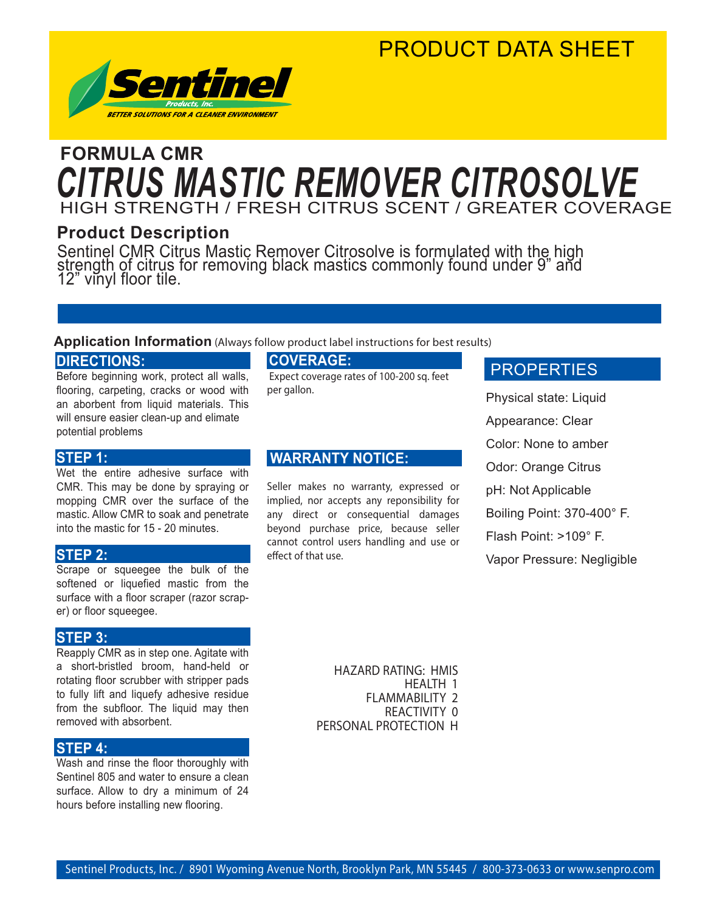### PRODUCT DATA SHEET



### HIGH STRENGTH / FRESH CITRUS SCENT / GREATER COVERAGE **FORMULA CMR** *CITRUS MASTIC REMOVER CITROSOLVE*

#### **Product Description**

Sentinel CMR Citrus Mastic Remover Citrosolve is formulated with the high strength of citrus for removing black mastics commonly found under 9" and 12" vinyl floor tile.

#### **Application Information** (Always follow product label instructions for best results)

#### **DIRECTIONS:**

Before beginning work, protect all walls, flooring, carpeting, cracks or wood with an aborbent from liquid materials. This will ensure easier clean-up and elimate potential problems

#### **STEP 1:**

Wet the entire adhesive surface with CMR. This may be done by spraying or mopping CMR over the surface of the mastic. Allow CMR to soak and penetrate into the mastic for 15 - 20 minutes.

#### **STEP 2:**

Scrape or squeegee the bulk of the softened or liquefied mastic from the surface with a floor scraper (razor scraper) or floor squeegee.

#### **STEP 3:**

Reapply CMR as in step one. Agitate with a short-bristled broom, hand-held or rotating floor scrubber with stripper pads to fully lift and liquefy adhesive residue from the subfloor. The liquid may then removed with absorbent.

#### **STEP 4:**

Wash and rinse the floor thoroughly with Sentinel 805 and water to ensure a clean surface. Allow to dry a minimum of 24 hours before installing new flooring.

#### **COVERAGE:**

 Expect coverage rates of 100-200 sq. feet per gallon.

#### **WARRANTY NOTICE:**

Seller makes no warranty, expressed or implied, nor accepts any reponsibility for any direct or consequential damages beyond purchase price, because seller cannot control users handling and use or effect of that use.

#### **PROPERTIES**

Physical state: Liquid Appearance: Clear Color: None to amber Odor: Orange Citrus pH: Not Applicable Boiling Point: 370-400° F. Flash Point: >109° F. Vapor Pressure: Negligible

HAZARD RATING: HMIS HEALTH 1 FLAMMABILITY 2 REACTIVITY 0 PERSONAL PROTECTION H